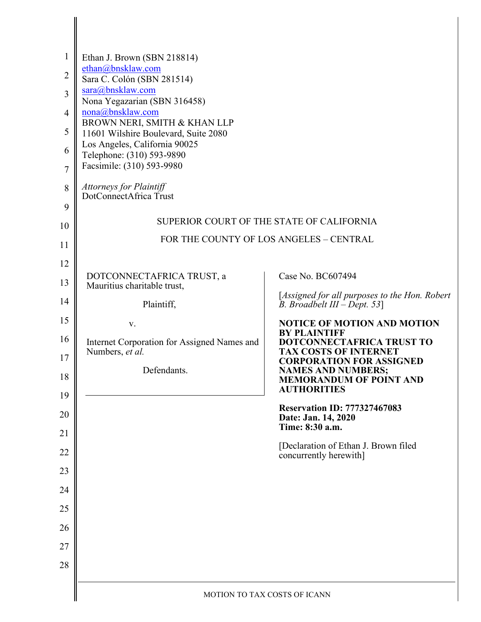| $\mathbf{1}$   | Ethan J. Brown (SBN 218814)                                                          |                                                                |  |
|----------------|--------------------------------------------------------------------------------------|----------------------------------------------------------------|--|
| $\overline{2}$ | ethan@bnsklaw.com                                                                    |                                                                |  |
| 3              | Sara C. Colón (SBN 281514)<br>sara@bnsklaw.com                                       |                                                                |  |
| $\overline{4}$ | Nona Yegazarian (SBN 316458)<br>nona@bnsklaw.com                                     |                                                                |  |
|                | BROWN NERI, SMITH & KHAN LLP                                                         |                                                                |  |
| 5              | 11601 Wilshire Boulevard, Suite 2080<br>Los Angeles, California 90025                |                                                                |  |
| 6              | Telephone: (310) 593-9890<br>Facsimile: (310) 593-9980                               |                                                                |  |
| $\overline{7}$ |                                                                                      |                                                                |  |
| 8              | Attorneys for Plaintiff<br>DotConnectAfrica Trust                                    |                                                                |  |
| 9              |                                                                                      |                                                                |  |
| 10             | SUPERIOR COURT OF THE STATE OF CALIFORNIA<br>FOR THE COUNTY OF LOS ANGELES - CENTRAL |                                                                |  |
| 11             |                                                                                      |                                                                |  |
| 12             | DOTCONNECTAFRICA TRUST, a                                                            | Case No. BC607494                                              |  |
| 13             | Mauritius charitable trust,                                                          | [Assigned for all purposes to the Hon. Robert                  |  |
| 14             | Plaintiff,                                                                           | B. Broadbelt $III - Dept. 53$ ]                                |  |
| 15             | V.                                                                                   | <b>NOTICE OF MOTION AND MOTION</b><br><b>BY PLAINTIFF</b>      |  |
| 16             | Internet Corporation for Assigned Names and<br>Numbers, et al.                       | DOTCONNECTAFRICA TRUST TO<br><b>TAX COSTS OF INTERNET</b>      |  |
| 17             | Defendants.                                                                          | <b>CORPORATION FOR ASSIGNED</b><br><b>NAMES AND NUMBERS;</b>   |  |
| 18<br>19       |                                                                                      | <b>MEMORANDUM OF POINT AND</b><br><b>AUTHORITIES</b>           |  |
| 20             |                                                                                      | <b>Reservation ID: 777327467083</b><br>Date: Jan. 14, 2020     |  |
| 21             |                                                                                      | Time: 8:30 a.m.                                                |  |
| 22             |                                                                                      | [Declaration of Ethan J. Brown filed<br>concurrently herewith] |  |
| 23             |                                                                                      |                                                                |  |
| 24             |                                                                                      |                                                                |  |
| 25             |                                                                                      |                                                                |  |
| 26             |                                                                                      |                                                                |  |
| 27             |                                                                                      |                                                                |  |
| 28             |                                                                                      |                                                                |  |
|                |                                                                                      |                                                                |  |
|                | MOTION TO TAX COSTS OF ICANN                                                         |                                                                |  |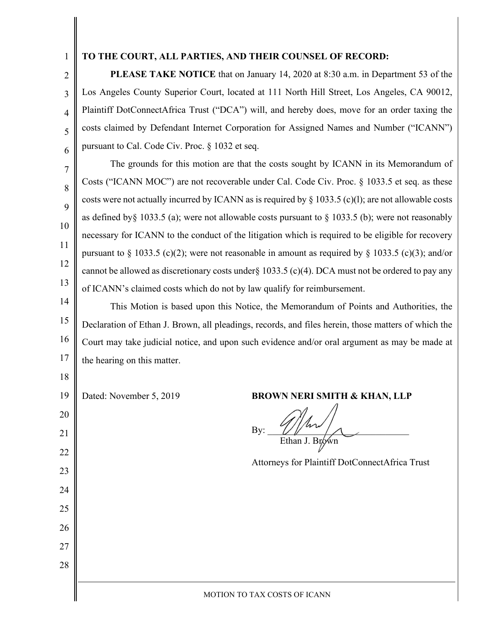1

2

3

4

5

6

9

10

11

12

13

 $\parallel$ 

#### **TO THE COURT, ALL PARTIES, AND THEIR COUNSEL OF RECORD:**

**PLEASE TAKE NOTICE** that on January 14, 2020 at 8:30 a.m. in Department 53 of the Los Angeles County Superior Court, located at 111 North Hill Street, Los Angeles, CA 90012, Plaintiff DotConnectAfrica Trust ("DCA") will, and hereby does, move for an order taxing the costs claimed by Defendant Internet Corporation for Assigned Names and Number ("ICANN") pursuant to Cal. Code Civ. Proc. § 1032 et seq.

7 8

The grounds for this motion are that the costs sought by ICANN in its Memorandum of Costs ("ICANN MOC") are not recoverable under Cal. Code Civ. Proc. § 1033.5 et seq. as these costs were not actually incurred by ICANN as is required by  $\S$  1033.5 (c)(1); are not allowable costs as defined by  $\S$  1033.5 (a); were not allowable costs pursuant to  $\S$  1033.5 (b); were not reasonably necessary for ICANN to the conduct of the litigation which is required to be eligible for recovery pursuant to § 1033.5 (c)(2); were not reasonable in amount as required by § 1033.5 (c)(3); and/or cannot be allowed as discretionary costs under§ 1033.5 (c)(4). DCA must not be ordered to pay any of ICANN's claimed costs which do not by law qualify for reimbursement.

14 15 16 17 This Motion is based upon this Notice, the Memorandum of Points and Authorities, the Declaration of Ethan J. Brown, all pleadings, records, and files herein, those matters of which the Court may take judicial notice, and upon such evidence and/or oral argument as may be made at the hearing on this matter.

| $\perp$ | the hearing on this matter. |                                                |
|---------|-----------------------------|------------------------------------------------|
| 18      |                             |                                                |
| 19      | Dated: November 5, 2019     | <b>BROWN NERI SMITH &amp; KHAN, LLP</b>        |
| 20      |                             |                                                |
| 21      |                             | By:<br>Ethan J. Brown                          |
| 22      |                             |                                                |
| 23      |                             | Attorneys for Plaintiff DotConnectAfrica Trust |
| 24      |                             |                                                |
| 25      |                             |                                                |
| 26      |                             |                                                |
| 27      |                             |                                                |
| 28      |                             |                                                |
|         |                             |                                                |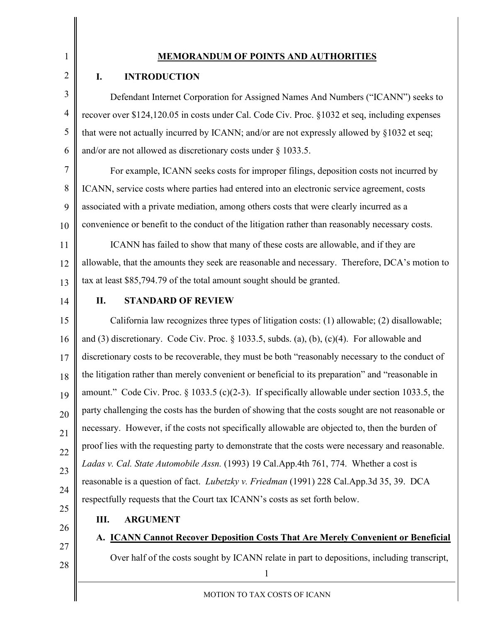# 1 2

## **MEMORANDUM OF POINTS AND AUTHORITIES**

### **I. INTRODUCTION**

3 4 5 6 Defendant Internet Corporation for Assigned Names And Numbers ("ICANN") seeks to recover over \$124,120.05 in costs under Cal. Code Civ. Proc. §1032 et seq, including expenses that were not actually incurred by ICANN; and/or are not expressly allowed by §1032 et seq; and/or are not allowed as discretionary costs under § 1033.5.

7 8 9 10 For example, ICANN seeks costs for improper filings, deposition costs not incurred by ICANN, service costs where parties had entered into an electronic service agreement, costs associated with a private mediation, among others costs that were clearly incurred as a convenience or benefit to the conduct of the litigation rather than reasonably necessary costs.

11 12 13 ICANN has failed to show that many of these costs are allowable, and if they are allowable, that the amounts they seek are reasonable and necessary. Therefore, DCA's motion to tax at least \$85,794.79 of the total amount sought should be granted.

14

## **II. STANDARD OF REVIEW**

15 16 17 18 19 20 21 22 23 24 California law recognizes three types of litigation costs: (1) allowable; (2) disallowable; and (3) discretionary. Code Civ. Proc. § 1033.5, subds. (a), (b), (c)(4). For allowable and discretionary costs to be recoverable, they must be both "reasonably necessary to the conduct of the litigation rather than merely convenient or beneficial to its preparation" and "reasonable in amount." Code Civ. Proc. § 1033.5 (c)(2-3). If specifically allowable under section 1033.5, the party challenging the costs has the burden of showing that the costs sought are not reasonable or necessary. However, if the costs not specifically allowable are objected to, then the burden of proof lies with the requesting party to demonstrate that the costs were necessary and reasonable. *Ladas v. Cal. State Automobile Assn.* (1993) 19 Cal.App.4th 761, 774. Whether a cost is reasonable is a question of fact. *Lubetzky v. Friedman* (1991) 228 Cal.App.3d 35, 39. DCA respectfully requests that the Court tax ICANN's costs as set forth below.

25

#### **III. ARGUMENT**

26 27

28

**A. ICANN Cannot Recover Deposition Costs That Are Merely Convenient or Beneficial** Over half of the costs sought by ICANN relate in part to depositions, including transcript,

1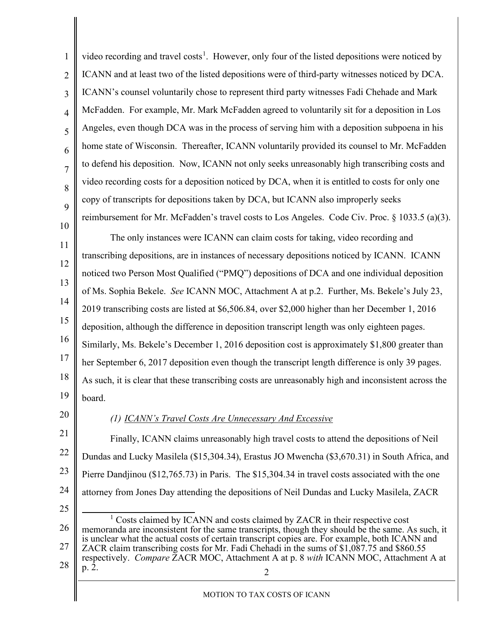<span id="page-3-0"></span>2 1 2 3 4 5 6 7 8 9 10 11 12 13 14 15 16 17 18 19 20 21 22 23 24 25 26 27 28 video recording and travel costs<sup>[1](#page-3-0)</sup>. However, only four of the listed depositions were noticed by ICANN and at least two of the listed depositions were of third-party witnesses noticed by DCA. ICANN's counsel voluntarily chose to represent third party witnesses Fadi Chehade and Mark McFadden. For example, Mr. Mark McFadden agreed to voluntarily sit for a deposition in Los Angeles, even though DCA was in the process of serving him with a deposition subpoena in his home state of Wisconsin. Thereafter, ICANN voluntarily provided its counsel to Mr. McFadden to defend his deposition. Now, ICANN not only seeks unreasonably high transcribing costs and video recording costs for a deposition noticed by DCA, when it is entitled to costs for only one copy of transcripts for depositions taken by DCA, but ICANN also improperly seeks reimbursement for Mr. McFadden's travel costs to Los Angeles. Code Civ. Proc. § 1033.5 (a)(3). The only instances were ICANN can claim costs for taking, video recording and transcribing depositions, are in instances of necessary depositions noticed by ICANN. ICANN noticed two Person Most Qualified ("PMQ") depositions of DCA and one individual deposition of Ms. Sophia Bekele. *See* ICANN MOC, Attachment A at p.2. Further, Ms. Bekele's July 23, 2019 transcribing costs are listed at \$6,506.84, over \$2,000 higher than her December 1, 2016 deposition, although the difference in deposition transcript length was only eighteen pages. Similarly, Ms. Bekele's December 1, 2016 deposition cost is approximately \$1,800 greater than her September 6, 2017 deposition even though the transcript length difference is only 39 pages. As such, it is clear that these transcribing costs are unreasonably high and inconsistent across the board. *(1) ICANN's Travel Costs Are Unnecessary And Excessive* Finally, ICANN claims unreasonably high travel costs to attend the depositions of Neil Dundas and Lucky Masilela (\$15,304.34), Erastus JO Mwencha (\$3,670.31) in South Africa, and Pierre Dandjinou (\$12,765.73) in Paris. The \$15,304.34 in travel costs associated with the one attorney from Jones Day attending the depositions of Neil Dundas and Lucky Masilela, ZACR <sup>1</sup> Costs claimed by ICANN and costs claimed by ZACR in their respective cost memoranda are inconsistent for the same transcripts, though they should be the same. As such, it is unclear what the actual costs of certain transcript copies are. For example, both ICANN and ZACR claim transcribing costs for Mr. Fadi Chehadi in the sums of \$1,087.75 and \$860.55 respectively. *Compare* ZACR MOC, Attachment A at p. 8 *with* ICANN MOC, Attachment A at p. 2.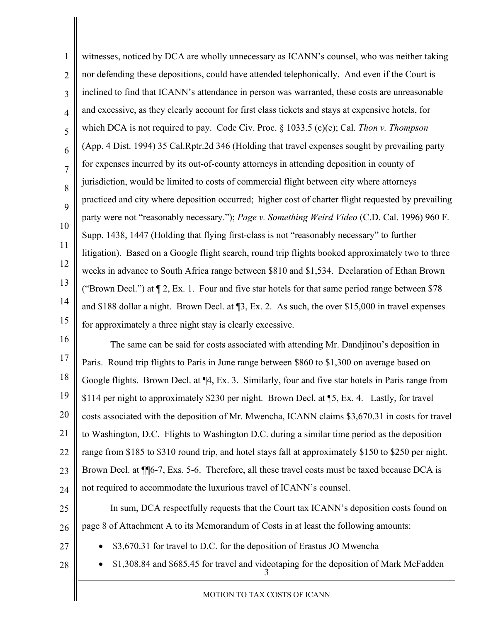1 2 3 4 5 6 7 8 9 10 11 12 13 14 15 16 17 18 19 20 21 witnesses, noticed by DCA are wholly unnecessary as ICANN's counsel, who was neither taking nor defending these depositions, could have attended telephonically. And even if the Court is inclined to find that ICANN's attendance in person was warranted, these costs are unreasonable and excessive, as they clearly account for first class tickets and stays at expensive hotels, for which DCA is not required to pay. Code Civ. Proc. § 1033.5 (c)(e); Cal. *Thon v. Thompson*  (App. 4 Dist. 1994) 35 Cal.Rptr.2d 346 (Holding that travel expenses sought by prevailing party for expenses incurred by its out-of-county attorneys in attending deposition in county of jurisdiction, would be limited to costs of commercial flight between city where attorneys practiced and city where deposition occurred;  higher cost of charter flight requested by prevailing party were not "reasonably necessary."); *Page v. Something Weird Video* (C.D. Cal. 1996) 960 F. Supp. 1438, 1447 (Holding that flying first-class is not "reasonably necessary" to further litigation). Based on a Google flight search, round trip flights booked approximately two to three weeks in advance to South Africa range between \$810 and \$1,534. Declaration of Ethan Brown ("Brown Decl.") at  $\P$  2, Ex. 1. Four and five star hotels for that same period range between \$78 and \$188 dollar a night. Brown Decl. at ¶3, Ex. 2. As such, the over \$15,000 in travel expenses for approximately a three night stay is clearly excessive. The same can be said for costs associated with attending Mr. Dandjinou's deposition in Paris. Round trip flights to Paris in June range between \$860 to \$1,300 on average based on Google flights. Brown Decl. at ¶4, Ex. 3. Similarly, four and five star hotels in Paris range from \$114 per night to approximately \$230 per night. Brown Decl. at ¶5, Ex. 4. Lastly, for travel costs associated with the deposition of Mr. Mwencha, ICANN claims \$3,670.31 in costs for travel to Washington, D.C. Flights to Washington D.C. during a similar time period as the deposition

- 22 range from \$185 to \$310 round trip, and hotel stays fall at approximately \$150 to \$250 per night.
- 23 24 Brown Decl. at ¶¶6-7, Exs. 5-6. Therefore, all these travel costs must be taxed because DCA is not required to accommodate the luxurious travel of ICANN's counsel.
- 25 26 In sum, DCA respectfully requests that the Court tax ICANN's deposition costs found on page 8 of Attachment A to its Memorandum of Costs in at least the following amounts:
- 27
- \$3,670.31 for travel to D.C. for the deposition of Erastus JO Mwencha
- 28
- 3 • \$1,308.84 and \$685.45 for travel and videotaping for the deposition of Mark McFadden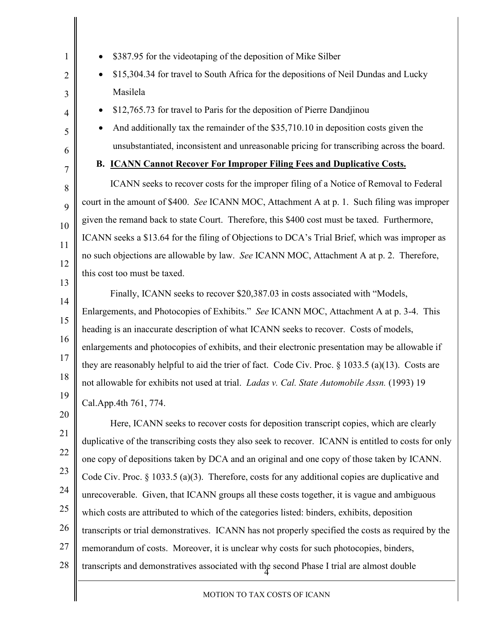| \$387.95 for the videotaping of the deposition of Mike Silber                                        |  |  |
|------------------------------------------------------------------------------------------------------|--|--|
| \$15,304.34 for travel to South Africa for the depositions of Neil Dundas and Lucky                  |  |  |
| Masilela                                                                                             |  |  |
| \$12,765.73 for travel to Paris for the deposition of Pierre Dandjinou                               |  |  |
| And additionally tax the remainder of the \$35,710.10 in deposition costs given the                  |  |  |
| unsubstantiated, inconsistent and unreasonable pricing for transcribing across the board.            |  |  |
| B. <b>ICANN Cannot Recover For Improper Filing Fees and Duplicative Costs.</b>                       |  |  |
| ICANN seeks to recover costs for the improper filing of a Notice of Removal to Federal               |  |  |
| court in the amount of \$400. See ICANN MOC, Attachment A at p. 1. Such filing was improper          |  |  |
| given the remand back to state Court. Therefore, this \$400 cost must be taxed. Furthermore,         |  |  |
| ICANN seeks a \$13.64 for the filing of Objections to DCA's Trial Brief, which was improper as       |  |  |
| no such objections are allowable by law. See ICANN MOC, Attachment A at p. 2. Therefore,             |  |  |
| this cost too must be taxed.                                                                         |  |  |
| Finally, ICANN seeks to recover \$20,387.03 in costs associated with "Models,                        |  |  |
| Enlargements, and Photocopies of Exhibits." See ICANN MOC, Attachment A at p. 3-4. This              |  |  |
| heading is an inaccurate description of what ICANN seeks to recover. Costs of models,                |  |  |
| enlargements and photocopies of exhibits, and their electronic presentation may be allowable if      |  |  |
| they are reasonably helpful to aid the trier of fact. Code Civ. Proc. $\S 1033.5$ (a)(13). Costs are |  |  |
| not allowable for exhibits not used at trial. Ladas v. Cal. State Automobile Assn. (1993) 19         |  |  |
| Cal.App.4th 761, 774.                                                                                |  |  |
| Here, ICANN seeks to recover costs for deposition transcript copies, which are clearly               |  |  |
| duplicative of the transcribing costs they also seek to recover. ICANN is entitled to costs for only |  |  |
| one copy of depositions taken by DCA and an original and one copy of those taken by ICANN.           |  |  |
| Code Civ. Proc. $\S$ 1033.5 (a)(3). Therefore, costs for any additional copies are duplicative and   |  |  |
| unrecoverable. Given, that ICANN groups all these costs together, it is vague and ambiguous          |  |  |
| which costs are attributed to which of the categories listed: binders, exhibits, deposition          |  |  |
| transcripts or trial demonstratives. ICANN has not properly specified the costs as required by the   |  |  |
| memorandum of costs. Moreover, it is unclear why costs for such photocopies, binders,                |  |  |
| transcripts and demonstratives associated with the second Phase I trial are almost double            |  |  |
| MOTION TO TAX COSTS OF ICANN                                                                         |  |  |
|                                                                                                      |  |  |

#### MOTION TO TAX COSTS OF ICANN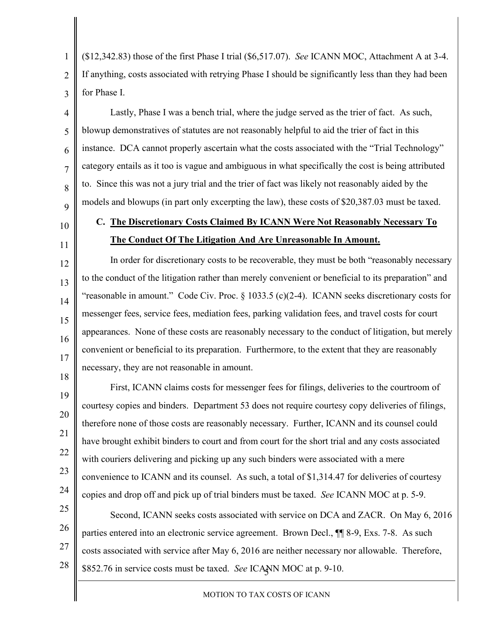(\$12,342.83) those of the first Phase I trial (\$6,517.07). *See* ICANN MOC, Attachment A at 3-4. If anything, costs associated with retrying Phase I should be significantly less than they had been for Phase I.

Lastly, Phase I was a bench trial, where the judge served as the trier of fact. As such, blowup demonstratives of statutes are not reasonably helpful to aid the trier of fact in this instance. DCA cannot properly ascertain what the costs associated with the "Trial Technology" category entails as it too is vague and ambiguous in what specifically the cost is being attributed to. Since this was not a jury trial and the trier of fact was likely not reasonably aided by the models and blowups (in part only excerpting the law), these costs of \$20,387.03 must be taxed.

10

11

12

13

14

15

16

17

1

2

3

4

5

6

7

8

9

# **C. The Discretionary Costs Claimed By ICANN Were Not Reasonably Necessary To The Conduct Of The Litigation And Are Unreasonable In Amount.**

18 In order for discretionary costs to be recoverable, they must be both "reasonably necessary to the conduct of the litigation rather than merely convenient or beneficial to its preparation" and "reasonable in amount." Code Civ. Proc.  $\S$  1033.5 (c)(2-4). ICANN seeks discretionary costs for messenger fees, service fees, mediation fees, parking validation fees, and travel costs for court appearances. None of these costs are reasonably necessary to the conduct of litigation, but merely convenient or beneficial to its preparation. Furthermore, to the extent that they are reasonably necessary, they are not reasonable in amount.

19 20 21 22 23 24 First, ICANN claims costs for messenger fees for filings, deliveries to the courtroom of courtesy copies and binders. Department 53 does not require courtesy copy deliveries of filings, therefore none of those costs are reasonably necessary. Further, ICANN and its counsel could have brought exhibit binders to court and from court for the short trial and any costs associated with couriers delivering and picking up any such binders were associated with a mere convenience to ICANN and its counsel. As such, a total of \$1,314.47 for deliveries of courtesy copies and drop off and pick up of trial binders must be taxed. *See* ICANN MOC at p. 5-9.

5 \$852.76 in service costs must be taxed. *See* ICANN MOC at p. 9-10.25 26 27 28 Second, ICANN seeks costs associated with service on DCA and ZACR. On May 6, 2016 parties entered into an electronic service agreement. Brown Decl., ¶¶ 8-9, Exs. 7-8. As such costs associated with service after May 6, 2016 are neither necessary nor allowable. Therefore,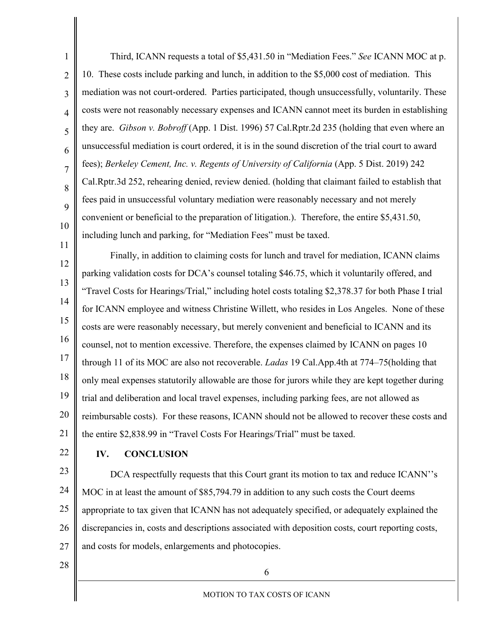1 2 3 4 5 6 7 8 9 10 11 Third, ICANN requests a total of \$5,431.50 in "Mediation Fees." *See* ICANN MOC at p. 10. These costs include parking and lunch, in addition to the \$5,000 cost of mediation. This mediation was not court-ordered. Parties participated, though unsuccessfully, voluntarily. These costs were not reasonably necessary expenses and ICANN cannot meet its burden in establishing they are. *Gibson v. Bobroff* (App. 1 Dist. 1996) 57 Cal.Rptr.2d 235 (holding that even where an unsuccessful mediation is court ordered, it is in the sound discretion of the trial court to award fees); *Berkeley Cement, Inc. v. Regents of University of California* (App. 5 Dist. 2019) 242 Cal.Rptr.3d 252, rehearing denied, review denied. (holding that claimant failed to establish that fees paid in unsuccessful voluntary mediation were reasonably necessary and not merely convenient or beneficial to the preparation of litigation.). Therefore, the entire \$5,431.50, including lunch and parking, for "Mediation Fees" must be taxed.

12 13 14 15 16 17 18 19 20 21 Finally, in addition to claiming costs for lunch and travel for mediation, ICANN claims parking validation costs for DCA's counsel totaling \$46.75, which it voluntarily offered, and "Travel Costs for Hearings/Trial," including hotel costs totaling \$2,378.37 for both Phase I trial for ICANN employee and witness Christine Willett, who resides in Los Angeles. None of these costs are were reasonably necessary, but merely convenient and beneficial to ICANN and its counsel, not to mention excessive. Therefore, the expenses claimed by ICANN on pages 10 through 11 of its MOC are also not recoverable. *Ladas* 19 Cal.App.4th at 774–75(holding that only meal expenses statutorily allowable are those for jurors while they are kept together during trial and deliberation and local travel expenses, including parking fees, are not allowed as reimbursable costs). For these reasons, ICANN should not be allowed to recover these costs and the entire \$2,838.99 in "Travel Costs For Hearings/Trial" must be taxed.

22

## **IV. CONCLUSION**

23 24 25 26 27 DCA respectfully requests that this Court grant its motion to tax and reduce ICANN''s MOC in at least the amount of \$85,794.79 in addition to any such costs the Court deems appropriate to tax given that ICANN has not adequately specified, or adequately explained the discrepancies in, costs and descriptions associated with deposition costs, court reporting costs, and costs for models, enlargements and photocopies.

28